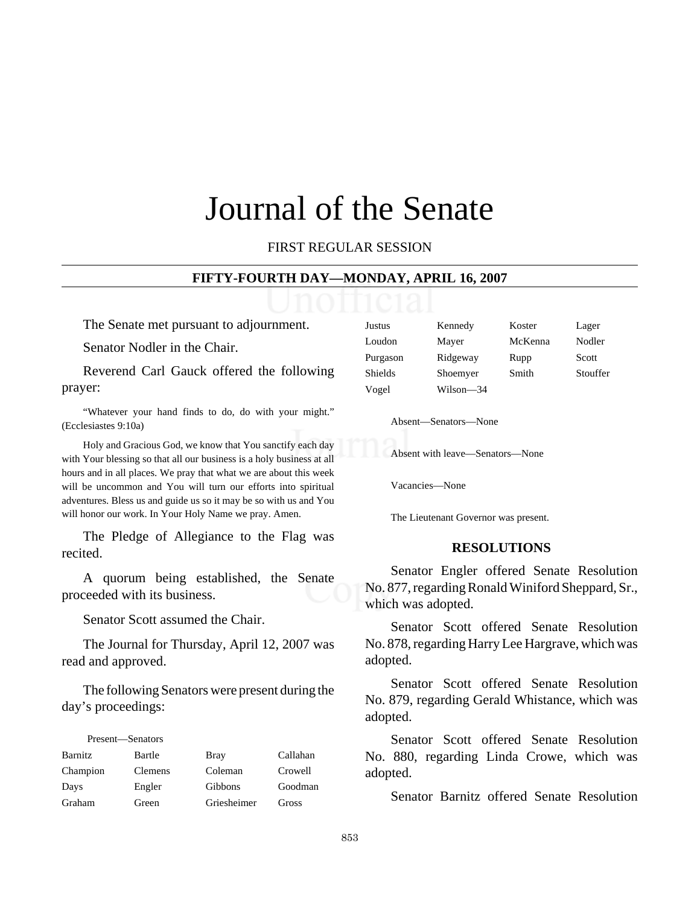# Journal of the Senate

FIRST REGULAR SESSION

#### **FIFTY-FOURTH DAY—MONDAY, APRIL 16, 2007**

The Senate met pursuant to adjournment.

Senator Nodler in the Chair.

Reverend Carl Gauck offered the following prayer:

"Whatever your hand finds to do, do with your might." (Ecclesiastes 9:10a)

Holy and Gracious God, we know that You sanctify each day with Your blessing so that all our business is a holy business at all hours and in all places. We pray that what we are about this week will be uncommon and You will turn our efforts into spiritual adventures. Bless us and guide us so it may be so with us and You will honor our work. In Your Holy Name we pray. Amen.

The Pledge of Allegiance to the Flag was recited.

A quorum being established, the Senate proceeded with its business.

Senator Scott assumed the Chair.

The Journal for Thursday, April 12, 2007 was read and approved.

The following Senators were present during the day's proceedings:

| Present—Senators |                |             |          |
|------------------|----------------|-------------|----------|
| <b>Barnitz</b>   | Bartle         | <b>Bray</b> | Callahan |
| Champion         | <b>Clemens</b> | Coleman     | Crowell  |
| Days             | Engler         | Gibbons     | Goodman  |
| Graham           | Green          | Griesheimer | Gross    |

| Justus   | Kennedy   | Koster  | Lager    |
|----------|-----------|---------|----------|
| Loudon   | Mayer     | McKenna | Nodler   |
| Purgason | Ridgeway  | Rupp    | Scott    |
| Shields  | Shoemyer  | Smith   | Stouffer |
| Vogel    | Wilson-34 |         |          |

Absent—Senators—None

Absent with leave—Senators—None

Vacancies—None

The Lieutenant Governor was present.

#### **RESOLUTIONS**

Senator Engler offered Senate Resolution No. 877, regarding Ronald Winiford Sheppard, Sr., which was adopted.

Senator Scott offered Senate Resolution No. 878, regarding Harry Lee Hargrave, which was adopted.

Senator Scott offered Senate Resolution No. 879, regarding Gerald Whistance, which was adopted.

Senator Scott offered Senate Resolution No. 880, regarding Linda Crowe, which was adopted.

Senator Barnitz offered Senate Resolution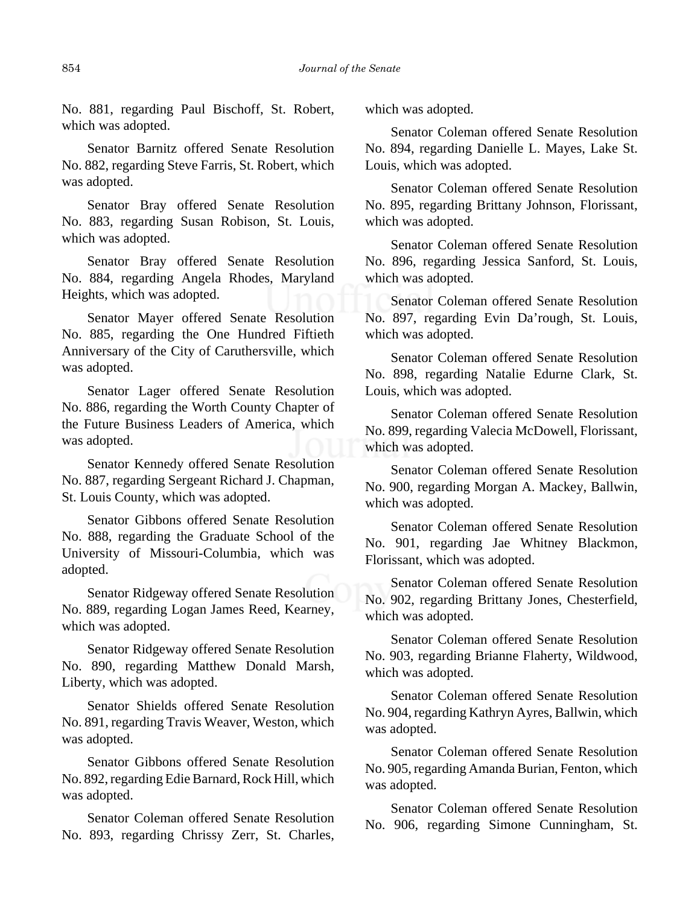No. 881, regarding Paul Bischoff, St. Robert, which was adopted.

Senator Barnitz offered Senate Resolution No. 882, regarding Steve Farris, St. Robert, which was adopted.

Senator Bray offered Senate Resolution No. 883, regarding Susan Robison, St. Louis, which was adopted.

Senator Bray offered Senate Resolution No. 884, regarding Angela Rhodes, Maryland Heights, which was adopted.

Senator Mayer offered Senate Resolution No. 885, regarding the One Hundred Fiftieth Anniversary of the City of Caruthersville, which was adopted.

Senator Lager offered Senate Resolution No. 886, regarding the Worth County Chapter of the Future Business Leaders of America, which was adopted.

Senator Kennedy offered Senate Resolution No. 887, regarding Sergeant Richard J. Chapman, St. Louis County, which was adopted.

Senator Gibbons offered Senate Resolution No. 888, regarding the Graduate School of the University of Missouri-Columbia, which was adopted.

Senator Ridgeway offered Senate Resolution No. 889, regarding Logan James Reed, Kearney, which was adopted.

Senator Ridgeway offered Senate Resolution No. 890, regarding Matthew Donald Marsh, Liberty, which was adopted.

Senator Shields offered Senate Resolution No. 891, regarding Travis Weaver, Weston, which was adopted.

Senator Gibbons offered Senate Resolution No. 892, regarding Edie Barnard, Rock Hill, which was adopted.

Senator Coleman offered Senate Resolution No. 893, regarding Chrissy Zerr, St. Charles, which was adopted.

Senator Coleman offered Senate Resolution No. 894, regarding Danielle L. Mayes, Lake St. Louis, which was adopted.

Senator Coleman offered Senate Resolution No. 895, regarding Brittany Johnson, Florissant, which was adopted.

Senator Coleman offered Senate Resolution No. 896, regarding Jessica Sanford, St. Louis, which was adopted.

Senator Coleman offered Senate Resolution No. 897, regarding Evin Da'rough, St. Louis, which was adopted.

Senator Coleman offered Senate Resolution No. 898, regarding Natalie Edurne Clark, St. Louis, which was adopted.

Senator Coleman offered Senate Resolution No. 899, regarding Valecia McDowell, Florissant, which was adopted.

Senator Coleman offered Senate Resolution No. 900, regarding Morgan A. Mackey, Ballwin, which was adopted.

Senator Coleman offered Senate Resolution No. 901, regarding Jae Whitney Blackmon, Florissant, which was adopted.

Senator Coleman offered Senate Resolution No. 902, regarding Brittany Jones, Chesterfield, which was adopted.

Senator Coleman offered Senate Resolution No. 903, regarding Brianne Flaherty, Wildwood, which was adopted.

Senator Coleman offered Senate Resolution No. 904, regarding Kathryn Ayres, Ballwin, which was adopted.

Senator Coleman offered Senate Resolution No. 905, regarding Amanda Burian, Fenton, which was adopted.

Senator Coleman offered Senate Resolution No. 906, regarding Simone Cunningham, St.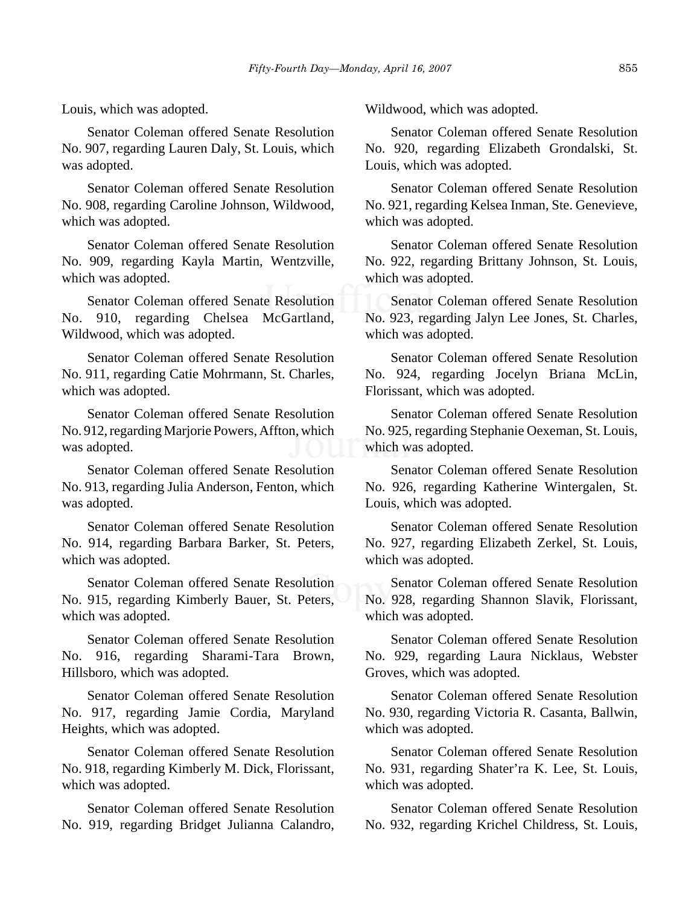Louis, which was adopted.

Senator Coleman offered Senate Resolution No. 907, regarding Lauren Daly, St. Louis, which was adopted.

Senator Coleman offered Senate Resolution No. 908, regarding Caroline Johnson, Wildwood, which was adopted.

Senator Coleman offered Senate Resolution No. 909, regarding Kayla Martin, Wentzville, which was adopted.

Senator Coleman offered Senate Resolution No. 910, regarding Chelsea McGartland, Wildwood, which was adopted.

Senator Coleman offered Senate Resolution No. 911, regarding Catie Mohrmann, St. Charles, which was adopted.

Senator Coleman offered Senate Resolution No. 912, regarding Marjorie Powers, Affton, which was adopted.

Senator Coleman offered Senate Resolution No. 913, regarding Julia Anderson, Fenton, which was adopted.

Senator Coleman offered Senate Resolution No. 914, regarding Barbara Barker, St. Peters, which was adopted.

Senator Coleman offered Senate Resolution No. 915, regarding Kimberly Bauer, St. Peters, which was adopted.

Senator Coleman offered Senate Resolution No. 916, regarding Sharami-Tara Brown, Hillsboro, which was adopted.

Senator Coleman offered Senate Resolution No. 917, regarding Jamie Cordia, Maryland Heights, which was adopted.

Senator Coleman offered Senate Resolution No. 918, regarding Kimberly M. Dick, Florissant, which was adopted.

Senator Coleman offered Senate Resolution No. 919, regarding Bridget Julianna Calandro, Wildwood, which was adopted.

Senator Coleman offered Senate Resolution No. 920, regarding Elizabeth Grondalski, St. Louis, which was adopted.

Senator Coleman offered Senate Resolution No. 921, regarding Kelsea Inman, Ste. Genevieve, which was adopted.

Senator Coleman offered Senate Resolution No. 922, regarding Brittany Johnson, St. Louis, which was adopted.

Senator Coleman offered Senate Resolution No. 923, regarding Jalyn Lee Jones, St. Charles, which was adopted.

Senator Coleman offered Senate Resolution No. 924, regarding Jocelyn Briana McLin, Florissant, which was adopted.

Senator Coleman offered Senate Resolution No. 925, regarding Stephanie Oexeman, St. Louis, which was adopted.

Senator Coleman offered Senate Resolution No. 926, regarding Katherine Wintergalen, St. Louis, which was adopted.

Senator Coleman offered Senate Resolution No. 927, regarding Elizabeth Zerkel, St. Louis, which was adopted.

Senator Coleman offered Senate Resolution No. 928, regarding Shannon Slavik, Florissant, which was adopted.

Senator Coleman offered Senate Resolution No. 929, regarding Laura Nicklaus, Webster Groves, which was adopted.

Senator Coleman offered Senate Resolution No. 930, regarding Victoria R. Casanta, Ballwin, which was adopted.

Senator Coleman offered Senate Resolution No. 931, regarding Shater'ra K. Lee, St. Louis, which was adopted.

Senator Coleman offered Senate Resolution No. 932, regarding Krichel Childress, St. Louis,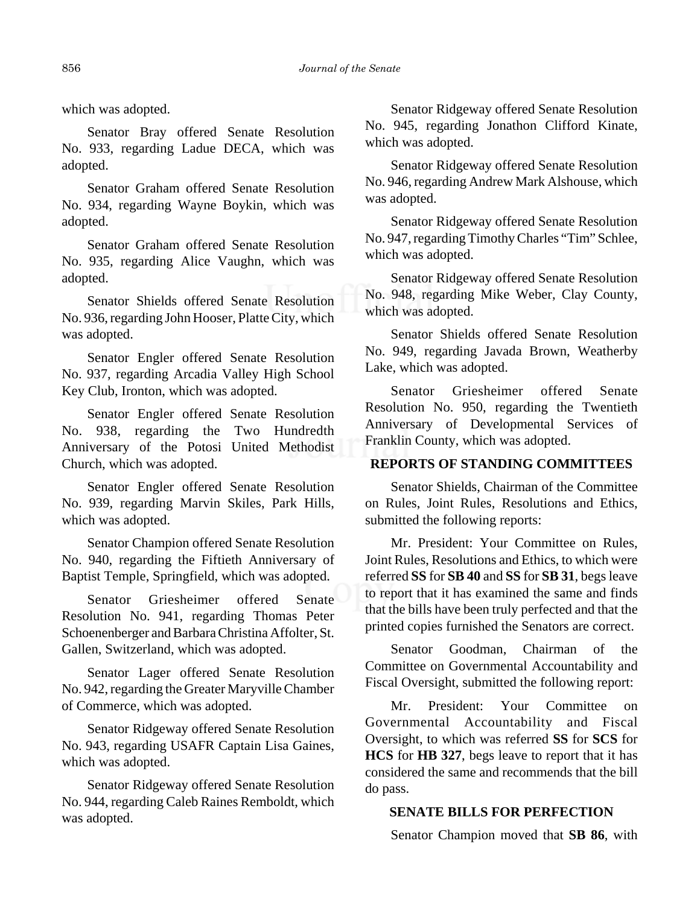which was adopted.

Senator Bray offered Senate Resolution No. 933, regarding Ladue DECA, which was adopted.

Senator Graham offered Senate Resolution No. 934, regarding Wayne Boykin, which was adopted.

Senator Graham offered Senate Resolution No. 935, regarding Alice Vaughn, which was adopted.

Senator Shields offered Senate Resolution No. 936, regarding John Hooser, Platte City, which was adopted.

Senator Engler offered Senate Resolution No. 937, regarding Arcadia Valley High School Key Club, Ironton, which was adopted.

Senator Engler offered Senate Resolution No. 938, regarding the Two Hundredth Anniversary of the Potosi United Methodist Church, which was adopted.

Senator Engler offered Senate Resolution No. 939, regarding Marvin Skiles, Park Hills, which was adopted.

Senator Champion offered Senate Resolution No. 940, regarding the Fiftieth Anniversary of Baptist Temple, Springfield, which was adopted.

Senator Griesheimer offered Senate Resolution No. 941, regarding Thomas Peter Schoenenberger and Barbara Christina Affolter, St. Gallen, Switzerland, which was adopted.

Senator Lager offered Senate Resolution No. 942, regarding the Greater Maryville Chamber of Commerce, which was adopted.

 Senator Ridgeway offered Senate Resolution No. 943, regarding USAFR Captain Lisa Gaines, which was adopted.

Senator Ridgeway offered Senate Resolution No. 944, regarding Caleb Raines Remboldt, which was adopted.

Senator Ridgeway offered Senate Resolution No. 945, regarding Jonathon Clifford Kinate, which was adopted.

Senator Ridgeway offered Senate Resolution No. 946, regarding Andrew Mark Alshouse, which was adopted.

Senator Ridgeway offered Senate Resolution No. 947, regarding Timothy Charles "Tim" Schlee, which was adopted.

Senator Ridgeway offered Senate Resolution No. 948, regarding Mike Weber, Clay County, which was adopted.

Senator Shields offered Senate Resolution No. 949, regarding Javada Brown, Weatherby Lake, which was adopted.

Senator Griesheimer offered Senate Resolution No. 950, regarding the Twentieth Anniversary of Developmental Services of Franklin County, which was adopted.

# **REPORTS OF STANDING COMMITTEES**

Senator Shields, Chairman of the Committee on Rules, Joint Rules, Resolutions and Ethics, submitted the following reports:

Mr. President: Your Committee on Rules, Joint Rules, Resolutions and Ethics, to which were referred **SS** for **SB 40** and **SS** for **SB 31**, begs leave to report that it has examined the same and finds that the bills have been truly perfected and that the printed copies furnished the Senators are correct.

Senator Goodman, Chairman of the Committee on Governmental Accountability and Fiscal Oversight, submitted the following report:

Mr. President: Your Committee on Governmental Accountability and Fiscal Oversight, to which was referred **SS** for **SCS** for **HCS** for **HB 327**, begs leave to report that it has considered the same and recommends that the bill do pass.

## **SENATE BILLS FOR PERFECTION**

Senator Champion moved that **SB 86**, with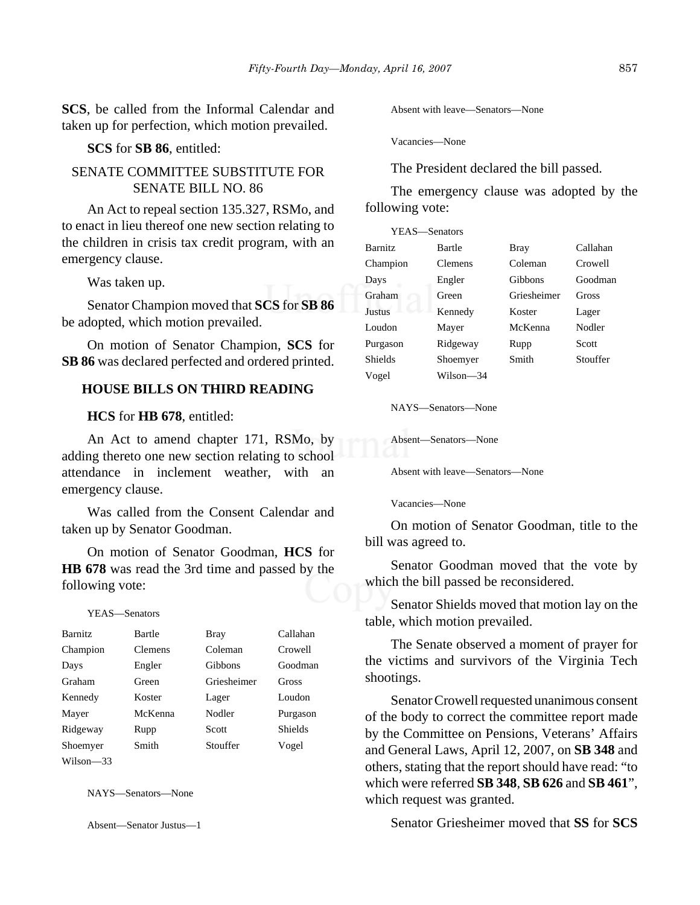**SCS**, be called from the Informal Calendar and taken up for perfection, which motion prevailed.

#### **SCS** for **SB 86**, entitled:

## SENATE COMMITTEE SUBSTITUTE FOR SENATE BILL NO. 86

An Act to repeal section 135.327, RSMo, and to enact in lieu thereof one new section relating to the children in crisis tax credit program, with an emergency clause.

Was taken up.

Senator Champion moved that **SCS** for **SB 86** be adopted, which motion prevailed.

On motion of Senator Champion, **SCS** for **SB 86** was declared perfected and ordered printed.

#### **HOUSE BILLS ON THIRD READING**

#### **HCS** for **HB 678**, entitled:

An Act to amend chapter 171, RSMo, by adding thereto one new section relating to school attendance in inclement weather, with an emergency clause.

Was called from the Consent Calendar and taken up by Senator Goodman.

On motion of Senator Goodman, **HCS** for **HB 678** was read the 3rd time and passed by the following vote:

#### YEAS—Senators

| <b>Barnitz</b> | Bartle         | <b>Bray</b> | Callahan       |
|----------------|----------------|-------------|----------------|
| Champion       | <b>Clemens</b> | Coleman     | Crowell        |
| Days           | Engler         | Gibbons     | Goodman        |
| Graham         | Green          | Griesheimer | Gross          |
| Kennedy        | Koster         | Lager       | Loudon         |
| Mayer          | McKenna        | Nodler      | Purgason       |
| Ridgeway       | Rupp           | Scott       | <b>Shields</b> |
| Shoemyer       | Smith          | Stouffer    | Vogel          |
| Wilson-33      |                |             |                |

NAYS—Senators—None

Absent—Senator Justus—1

Absent with leave—Senators—None

Vacancies—None

The President declared the bill passed.

The emergency clause was adopted by the following vote:

| YEAS—Senators  |           |             |          |
|----------------|-----------|-------------|----------|
| <b>Barnitz</b> | Bartle    | Bray        | Callahan |
| Champion       | Clemens   | Coleman     | Crowell  |
| Days           | Engler    | Gibbons     | Goodman  |
| Graham         | Green     | Griesheimer | Gross    |
| <b>Justus</b>  | Kennedy   | Koster      | Lager    |
| Loudon         | Mayer     | McKenna     | Nodler   |
| Purgason       | Ridgeway  | Rupp        | Scott    |
| <b>Shields</b> | Shoemyer  | Smith       | Stouffer |
| Vogel          | Wilson—34 |             |          |

NAYS—Senators—None

Absent—Senators—None

Absent with leave—Senators—None

Vacancies—None

On motion of Senator Goodman, title to the bill was agreed to.

Senator Goodman moved that the vote by which the bill passed be reconsidered.

Senator Shields moved that motion lay on the table, which motion prevailed.

The Senate observed a moment of prayer for the victims and survivors of the Virginia Tech shootings.

Senator Crowell requested unanimous consent of the body to correct the committee report made by the Committee on Pensions, Veterans' Affairs and General Laws, April 12, 2007, on **SB 348** and others, stating that the report should have read: "to which were referred **SB 348**, **SB 626** and **SB 461**", which request was granted.

Senator Griesheimer moved that **SS** for **SCS**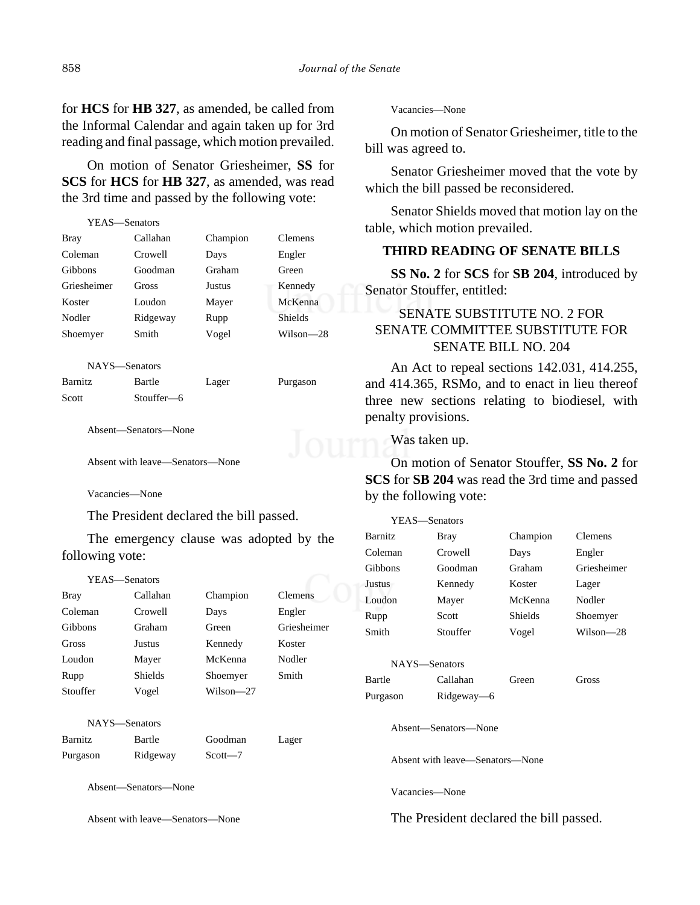for **HCS** for **HB 327**, as amended, be called from the Informal Calendar and again taken up for 3rd reading and final passage, which motion prevailed.

On motion of Senator Griesheimer, **SS** for **SCS** for **HCS** for **HB 327**, as amended, was read the 3rd time and passed by the following vote:

| YEAS—Senators |          |          |                |
|---------------|----------|----------|----------------|
| Bray          | Callahan | Champion | <b>Clemens</b> |
| Coleman       | Crowell  | Days     | Engler         |
| Gibbons       | Goodman  | Graham   | Green          |
| Griesheimer   | Gross    | Justus   | Kennedy        |
| Koster        | Loudon   | Mayer    | McKenna        |
| Nodler        | Ridgeway | Rupp     | <b>Shields</b> |
| Shoemyer      | Smith    | Vogel    | Wilson—28      |
|               |          |          |                |
|               |          |          |                |

NAYS—Senators

Barnitz Bartle Lager Purgason Scott Stouffer—6

Absent—Senators—None

Absent with leave—Senators—None

Vacancies—None

The President declared the bill passed.

The emergency clause was adopted by the following vote:

| YEAS—Senators |                |           |                |  |
|---------------|----------------|-----------|----------------|--|
| <b>Bray</b>   | Callahan       | Champion  | <b>Clemens</b> |  |
| Coleman       | Crowell        | Days      | Engler         |  |
| Gibbons       | Graham         | Green     | Griesheimer    |  |
| Gross         | Justus         | Kennedy   | Koster         |  |
| Loudon        | Mayer          | McKenna   | Nodler         |  |
| Rupp          | <b>Shields</b> | Shoemyer  | Smith          |  |
| Stouffer      | Vogel          | Wilson—27 |                |  |
|               |                |           |                |  |
|               | NAYS—Senators  |           |                |  |

| Barnitz  | Bartle   | Goodman     | Lager |
|----------|----------|-------------|-------|
| Purgason | Ridgeway | $Scott - 7$ |       |

Absent—Senators—None

Absent with leave—Senators—None

Vacancies—None

On motion of Senator Griesheimer, title to the bill was agreed to.

Senator Griesheimer moved that the vote by which the bill passed be reconsidered.

Senator Shields moved that motion lay on the table, which motion prevailed.

## **THIRD READING OF SENATE BILLS**

**SS No. 2** for **SCS** for **SB 204**, introduced by Senator Stouffer, entitled:

# SENATE SUBSTITUTE NO. 2 FOR SENATE COMMITTEE SUBSTITUTE FOR SENATE BILL NO. 204

An Act to repeal sections 142.031, 414.255, and 414.365, RSMo, and to enact in lieu thereof three new sections relating to biodiesel, with penalty provisions.

Was taken up.

On motion of Senator Stouffer, **SS No. 2** for **SCS** for **SB 204** was read the 3rd time and passed by the following vote:

| YEAS—Senators  |          |                |                |
|----------------|----------|----------------|----------------|
| <b>Barnitz</b> | Bray     | Champion       | <b>Clemens</b> |
| Coleman        | Crowell  | Days           | Engler         |
| <b>Gibbons</b> | Goodman  | Graham         | Griesheimer    |
| Justus         | Kennedy  | Koster         | Lager          |
| Loudon         | Mayer    | McKenna        | Nodler         |
| Rupp           | Scott    | <b>Shields</b> | Shoemyer       |
| Smith          | Stouffer | Vogel          | Wilson—28      |
|                |          |                |                |

|          | NAYS—Senators |       |       |
|----------|---------------|-------|-------|
| Bartle   | Callahan      | Green | Gross |
| Purgason | Rideway—6     |       |       |

Absent—Senators—None

Absent with leave—Senators—None

Vacancies—None

The President declared the bill passed.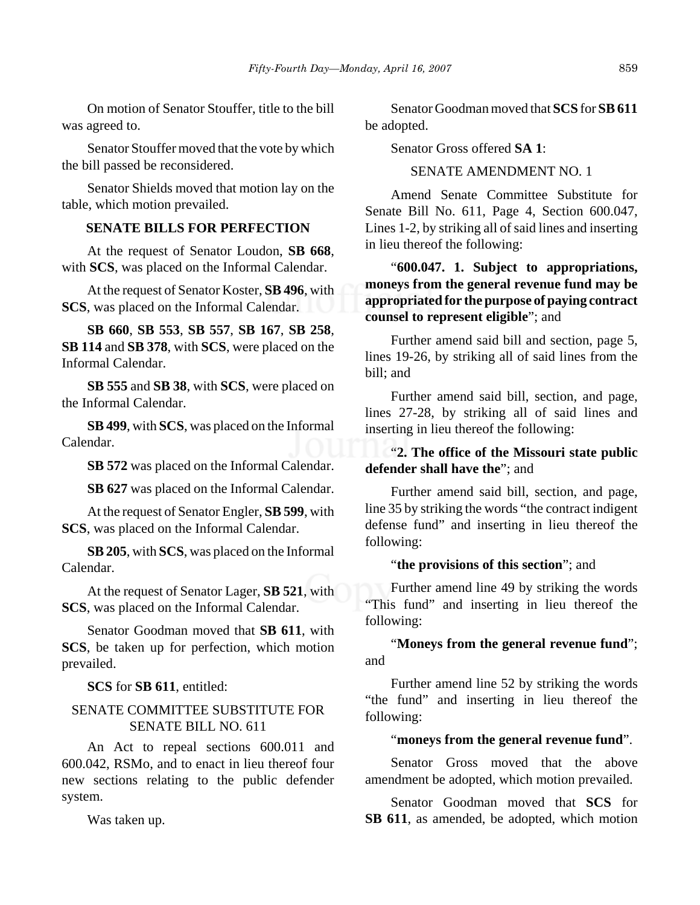On motion of Senator Stouffer, title to the bill was agreed to.

Senator Stouffer moved that the vote by which the bill passed be reconsidered.

Senator Shields moved that motion lay on the table, which motion prevailed.

## **SENATE BILLS FOR PERFECTION**

At the request of Senator Loudon, **SB 668**, with **SCS**, was placed on the Informal Calendar.

At the request of Senator Koster, **SB 496**, with **SCS**, was placed on the Informal Calendar.

**SB 660**, **SB 553**, **SB 557**, **SB 167**, **SB 258**, **SB 114** and **SB 378**, with **SCS**, were placed on the Informal Calendar.

**SB 555** and **SB 38**, with **SCS**, were placed on the Informal Calendar.

**SB 499**, with **SCS**, was placed on the Informal Calendar.

**SB 572** was placed on the Informal Calendar.

**SB 627** was placed on the Informal Calendar.

At the request of Senator Engler, **SB 599**, with **SCS**, was placed on the Informal Calendar.

**SB 205**, with **SCS**, was placed on the Informal Calendar.

At the request of Senator Lager, **SB 521**, with **SCS**, was placed on the Informal Calendar.

Senator Goodman moved that **SB 611**, with **SCS**, be taken up for perfection, which motion prevailed.

#### **SCS** for **SB 611**, entitled:

## SENATE COMMITTEE SUBSTITUTE FOR SENATE BILL NO. 611

An Act to repeal sections 600.011 and 600.042, RSMo, and to enact in lieu thereof four new sections relating to the public defender system.

Was taken up.

Senator Goodman moved that **SCS** for **SB 611** be adopted.

Senator Gross offered **SA 1**:

SENATE AMENDMENT NO. 1

Amend Senate Committee Substitute for Senate Bill No. 611, Page 4, Section 600.047, Lines 1-2, by striking all of said lines and inserting in lieu thereof the following:

"**600.047. 1. Subject to appropriations, moneys from the general revenue fund may be appropriated for the purpose of paying contract counsel to represent eligible**"; and

Further amend said bill and section, page 5, lines 19-26, by striking all of said lines from the bill; and

Further amend said bill, section, and page, lines 27-28, by striking all of said lines and inserting in lieu thereof the following:

# "**2. The office of the Missouri state public defender shall have the**"; and

Further amend said bill, section, and page, line 35 by striking the words "the contract indigent defense fund" and inserting in lieu thereof the following:

#### "**the provisions of this section**"; and

Further amend line 49 by striking the words "This fund" and inserting in lieu thereof the following:

"**Moneys from the general revenue fund**"; and

Further amend line 52 by striking the words "the fund" and inserting in lieu thereof the following:

#### "**moneys from the general revenue fund**".

Senator Gross moved that the above amendment be adopted, which motion prevailed.

Senator Goodman moved that **SCS** for **SB 611**, as amended, be adopted, which motion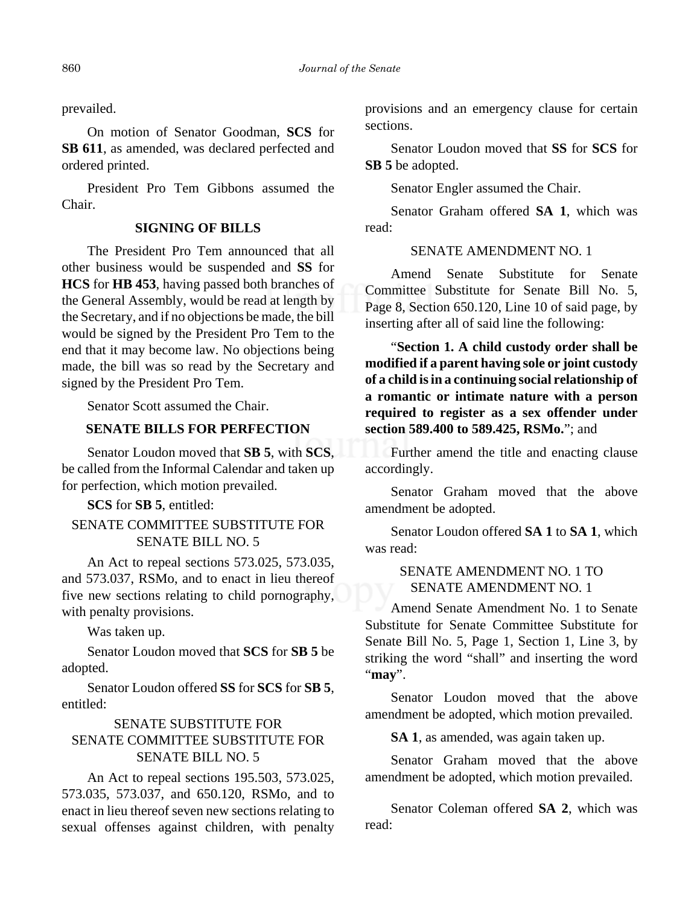prevailed.

On motion of Senator Goodman, **SCS** for **SB 611**, as amended, was declared perfected and ordered printed.

President Pro Tem Gibbons assumed the Chair.

## **SIGNING OF BILLS**

The President Pro Tem announced that all other business would be suspended and **SS** for **HCS** for **HB 453**, having passed both branches of the General Assembly, would be read at length by the Secretary, and if no objections be made, the bill would be signed by the President Pro Tem to the end that it may become law. No objections being made, the bill was so read by the Secretary and signed by the President Pro Tem.

Senator Scott assumed the Chair.

## **SENATE BILLS FOR PERFECTION**

Senator Loudon moved that **SB 5**, with **SCS**, be called from the Informal Calendar and taken up for perfection, which motion prevailed.

**SCS** for **SB 5**, entitled:

# SENATE COMMITTEE SUBSTITUTE FOR SENATE BILL NO. 5

An Act to repeal sections 573.025, 573.035, and 573.037, RSMo, and to enact in lieu thereof five new sections relating to child pornography, with penalty provisions.

Was taken up.

Senator Loudon moved that **SCS** for **SB 5** be adopted.

Senator Loudon offered **SS** for **SCS** for **SB 5**, entitled:

# SENATE SUBSTITUTE FOR SENATE COMMITTEE SUBSTITUTE FOR SENATE BILL NO. 5

An Act to repeal sections 195.503, 573.025, 573.035, 573.037, and 650.120, RSMo, and to enact in lieu thereof seven new sections relating to sexual offenses against children, with penalty provisions and an emergency clause for certain sections.

Senator Loudon moved that **SS** for **SCS** for **SB 5** be adopted.

Senator Engler assumed the Chair.

Senator Graham offered **SA 1**, which was read:

## SENATE AMENDMENT NO. 1

Amend Senate Substitute for Senate Committee Substitute for Senate Bill No. 5, Page 8, Section 650.120, Line 10 of said page, by inserting after all of said line the following:

"**Section 1. A child custody order shall be modified if a parent having sole or joint custody of a child is in a continuing social relationship of a romantic or intimate nature with a person required to register as a sex offender under section 589.400 to 589.425, RSMo.**"; and

Further amend the title and enacting clause accordingly.

Senator Graham moved that the above amendment be adopted.

Senator Loudon offered **SA 1** to **SA 1**, which was read:

> SENATE AMENDMENT NO. 1 TO SENATE AMENDMENT NO. 1

Amend Senate Amendment No. 1 to Senate Substitute for Senate Committee Substitute for Senate Bill No. 5, Page 1, Section 1, Line 3, by striking the word "shall" and inserting the word "**may**".

Senator Loudon moved that the above amendment be adopted, which motion prevailed.

**SA 1**, as amended, was again taken up.

Senator Graham moved that the above amendment be adopted, which motion prevailed.

Senator Coleman offered **SA 2**, which was read: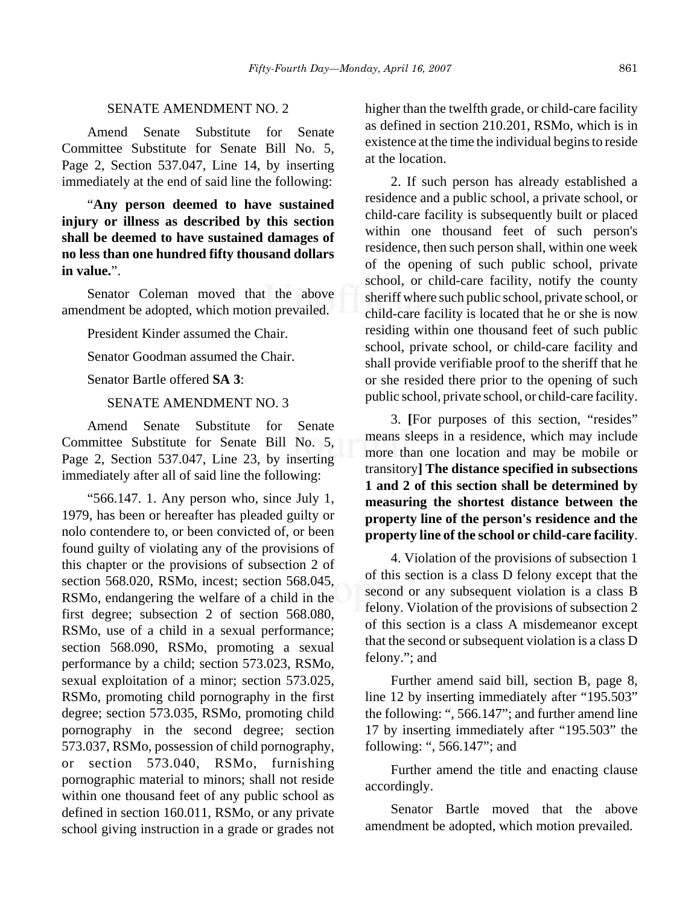#### SENATE AMENDMENT NO. 2

Amend Senate Substitute for Senate Committee Substitute for Senate Bill No. 5, Page 2, Section 537.047, Line 14, by inserting immediately at the end of said line the following:

"**Any person deemed to have sustained injury or illness as described by this section shall be deemed to have sustained damages of no less than one hundred fifty thousand dollars in value.**".

Senator Coleman moved that the above amendment be adopted, which motion prevailed.

President Kinder assumed the Chair.

Senator Goodman assumed the Chair.

Senator Bartle offered **SA 3**:

## SENATE AMENDMENT NO. 3

Amend Senate Substitute for Senate Committee Substitute for Senate Bill No. 5, Page 2, Section 537.047, Line 23, by inserting immediately after all of said line the following:

" $566.147$ . 1. Any person who, since July 1, 1979, has been or hereafter has pleaded guilty or nolo contendere to, or been convicted of, or been found guilty of violating any of the provisions of this chapter or the provisions of subsection 2 of section 568.020, RSMo, incest; section 568.045, RSMo, endangering the welfare of a child in the first degree; subsection 2 of section 568.080, RSMo, use of a child in a sexual performance; section 568.090, RSMo, promoting a sexual performance by a child; section 573.023, RSMo, sexual exploitation of a minor; section 573.025, RSMo, promoting child pornography in the first degree; section 573.035, RSMo, promoting child pornography in the second degree; section 573.037, RSMo, possession of child pornography, or section 573.040, RSMo, furnishing pornographic material to minors; shall not reside within one thousand feet of any public school as defined in section 160.011, RSMo, or any private school giving instruction in a grade or grades not higher than the twelfth grade, or child-care facility as defined in section 210.201, RSMo, which is in existence at the time the individual begins to reside at the location.

2. If such person has already established a residence and a public school, a private school, or child-care facility is subsequently built or placed within one thousand feet of such person's residence, then such person shall, within one week of the opening of such public school, private school, or child-care facility, notify the county sheriff where such public school, private school, or child-care facility is located that he or she is now residing within one thousand feet of such public school, private school, or child-care facility and shall provide verifiable proof to the sheriff that he or she resided there prior to the opening of such public school, private school, or child-care facility.

3. **[**For purposes of this section, "resides" means sleeps in a residence, which may include more than one location and may be mobile or transitory**] The distance specified in subsections 1 and 2 of this section shall be determined by measuring the shortest distance between the property line of the person's residence and the property line of the school or child-care facility**.

4. Violation of the provisions of subsection 1 of this section is a class D felony except that the second or any subsequent violation is a class B felony. Violation of the provisions of subsection 2 of this section is a class A misdemeanor except that the second or subsequent violation is a class D felony."; and

Further amend said bill, section B, page 8, line 12 by inserting immediately after "195.503" the following: ", 566.147"; and further amend line 17 by inserting immediately after "195.503" the following: ", 566.147"; and

Further amend the title and enacting clause accordingly.

Senator Bartle moved that the above amendment be adopted, which motion prevailed.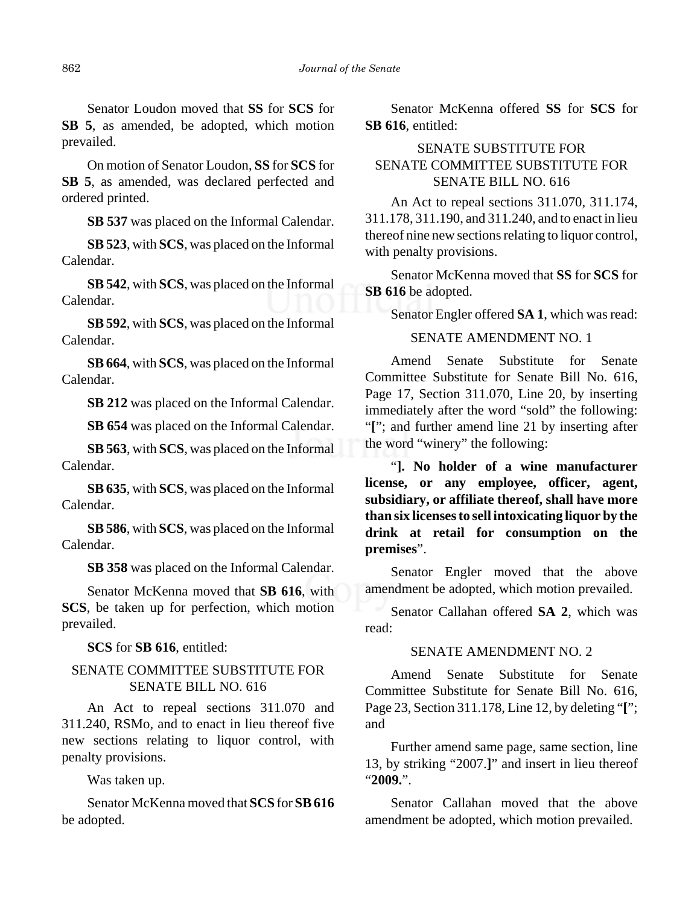Senator Loudon moved that **SS** for **SCS** for **SB 5**, as amended, be adopted, which motion prevailed.

On motion of Senator Loudon, **SS** for **SCS** for **SB 5**, as amended, was declared perfected and ordered printed.

**SB 537** was placed on the Informal Calendar.

**SB 523**, with **SCS**, was placed on the Informal Calendar.

**SB 542**, with **SCS**, was placed on the Informal Calendar.

**SB 592**, with **SCS**, was placed on the Informal Calendar.

**SB 664**, with **SCS**, was placed on the Informal Calendar.

**SB 212** was placed on the Informal Calendar.

**SB 654** was placed on the Informal Calendar.

**SB 563**, with **SCS**, was placed on the Informal Calendar.

**SB 635**, with **SCS**, was placed on the Informal Calendar.

**SB 586**, with **SCS**, was placed on the Informal Calendar.

**SB 358** was placed on the Informal Calendar.

Senator McKenna moved that **SB 616**, with **SCS**, be taken up for perfection, which motion prevailed.

**SCS** for **SB 616**, entitled:

## SENATE COMMITTEE SUBSTITUTE FOR SENATE BILL NO. 616

An Act to repeal sections 311.070 and 311.240, RSMo, and to enact in lieu thereof five new sections relating to liquor control, with penalty provisions.

Was taken up.

Senator McKenna moved that **SCS** for **SB 616** be adopted.

Senator McKenna offered **SS** for **SCS** for **SB 616**, entitled:

# SENATE SUBSTITUTE FOR SENATE COMMITTEE SUBSTITUTE FOR SENATE BILL NO. 616

An Act to repeal sections 311.070, 311.174, 311.178, 311.190, and 311.240, and to enact in lieu thereof nine new sections relating to liquor control, with penalty provisions.

Senator McKenna moved that **SS** for **SCS** for **SB 616** be adopted.

Senator Engler offered **SA 1**, which was read:

## SENATE AMENDMENT NO. 1

Amend Senate Substitute for Senate Committee Substitute for Senate Bill No. 616, Page 17, Section 311.070, Line 20, by inserting immediately after the word "sold" the following: "**["**; and further amend line 21 by inserting after the word "winery" the following:

"**]. No holder of a wine manufacturer license, or any employee, officer, agent, subsidiary, or affiliate thereof, shall have more than six licenses to sell intoxicating liquor by the drink at retail for consumption on the premises**".

Senator Engler moved that the above amendment be adopted, which motion prevailed.

Senator Callahan offered **SA 2**, which was read:

## SENATE AMENDMENT NO. 2

Amend Senate Substitute for Senate Committee Substitute for Senate Bill No. 616, Page 23, Section 311.178, Line 12, by deleting "**[**"; and

Further amend same page, same section, line 13, by striking "2007.**]**" and insert in lieu thereof "**2009.**".

Senator Callahan moved that the above amendment be adopted, which motion prevailed.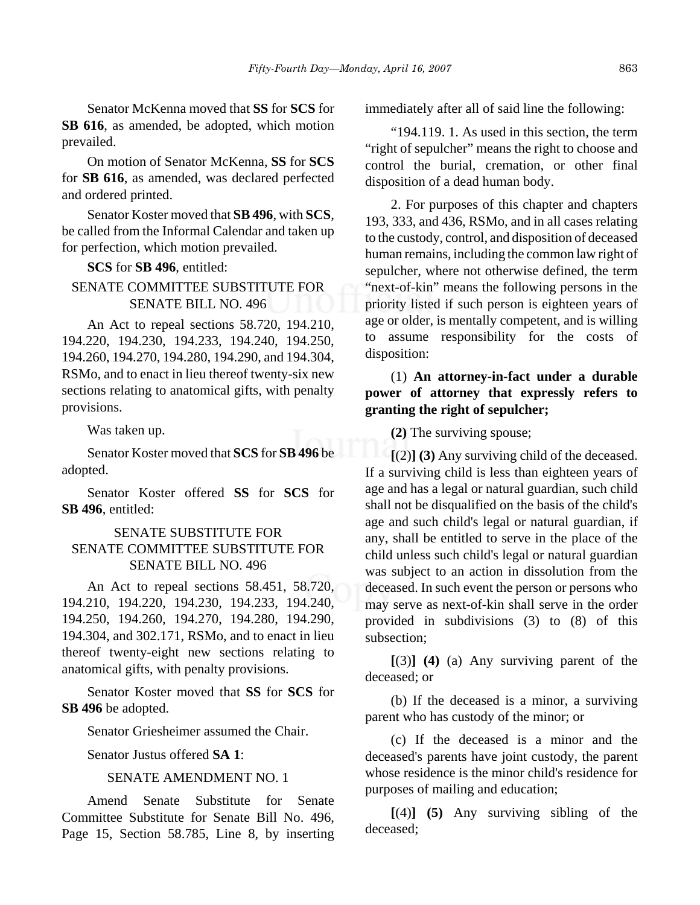Senator McKenna moved that **SS** for **SCS** for **SB 616**, as amended, be adopted, which motion prevailed.

On motion of Senator McKenna, **SS** for **SCS** for **SB 616**, as amended, was declared perfected and ordered printed.

Senator Koster moved that **SB 496**, with **SCS**, be called from the Informal Calendar and taken up for perfection, which motion prevailed.

### **SCS** for **SB 496**, entitled:

## SENATE COMMITTEE SUBSTITUTE FOR SENATE BILL NO. 496

An Act to repeal sections 58.720, 194.210, 194.220, 194.230, 194.233, 194.240, 194.250, 194.260, 194.270, 194.280, 194.290, and 194.304, RSMo, and to enact in lieu thereof twenty-six new sections relating to anatomical gifts, with penalty provisions.

Was taken up.

Senator Koster moved that **SCS** for **SB 496** be adopted.

Senator Koster offered **SS** for **SCS** for **SB 496**, entitled:

## SENATE SUBSTITUTE FOR SENATE COMMITTEE SUBSTITUTE FOR SENATE BILL NO. 496

An Act to repeal sections 58.451, 58.720, 194.210, 194.220, 194.230, 194.233, 194.240, 194.250, 194.260, 194.270, 194.280, 194.290, 194.304, and 302.171, RSMo, and to enact in lieu thereof twenty-eight new sections relating to anatomical gifts, with penalty provisions.

Senator Koster moved that **SS** for **SCS** for **SB 496** be adopted.

Senator Griesheimer assumed the Chair.

Senator Justus offered **SA 1**:

#### SENATE AMENDMENT NO. 1

Amend Senate Substitute for Senate Committee Substitute for Senate Bill No. 496, Page 15, Section 58.785, Line 8, by inserting immediately after all of said line the following:

"194.119. 1. As used in this section, the term "right of sepulcher" means the right to choose and control the burial, cremation, or other final disposition of a dead human body.

2. For purposes of this chapter and chapters 193, 333, and 436, RSMo, and in all cases relating to the custody, control, and disposition of deceased human remains, including the common law right of sepulcher, where not otherwise defined, the term "next-of-kin" means the following persons in the priority listed if such person is eighteen years of age or older, is mentally competent, and is willing to assume responsibility for the costs of disposition:

## (1) **An attorney-in-fact under a durable power of attorney that expressly refers to granting the right of sepulcher;**

**(2)** The surviving spouse;

**[**(2)**] (3)** Any surviving child of the deceased. If a surviving child is less than eighteen years of age and has a legal or natural guardian, such child shall not be disqualified on the basis of the child's age and such child's legal or natural guardian, if any, shall be entitled to serve in the place of the child unless such child's legal or natural guardian was subject to an action in dissolution from the deceased. In such event the person or persons who may serve as next-of-kin shall serve in the order provided in subdivisions (3) to (8) of this subsection;

**[**(3)**] (4)** (a) Any surviving parent of the deceased; or

(b) If the deceased is a minor, a surviving parent who has custody of the minor; or

(c) If the deceased is a minor and the deceased's parents have joint custody, the parent whose residence is the minor child's residence for purposes of mailing and education;

**[**(4)**] (5)** Any surviving sibling of the deceased;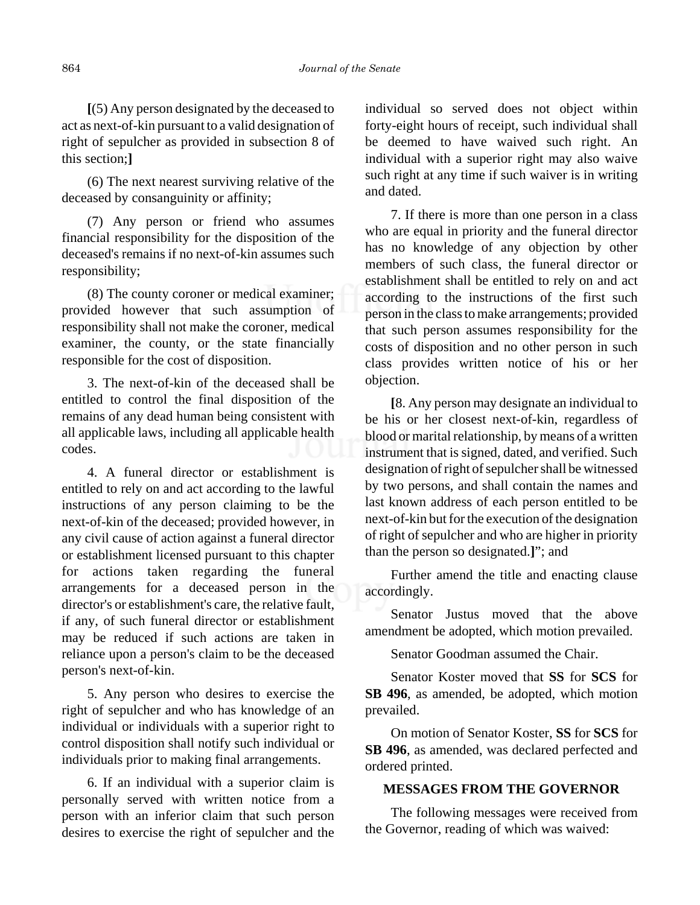**[**(5) Any person designated by the deceased to act as next-of-kin pursuant to a valid designation of right of sepulcher as provided in subsection 8 of this section;**]**

(6) The next nearest surviving relative of the deceased by consanguinity or affinity;

(7) Any person or friend who assumes financial responsibility for the disposition of the deceased's remains if no next-of-kin assumes such responsibility;

(8) The county coroner or medical examiner; provided however that such assumption of responsibility shall not make the coroner, medical examiner, the county, or the state financially responsible for the cost of disposition.

3. The next-of-kin of the deceased shall be entitled to control the final disposition of the remains of any dead human being consistent with all applicable laws, including all applicable health codes.

4. A funeral director or establishment is entitled to rely on and act according to the lawful instructions of any person claiming to be the next-of-kin of the deceased; provided however, in any civil cause of action against a funeral director or establishment licensed pursuant to this chapter for actions taken regarding the funeral arrangements for a deceased person in the director's or establishment's care, the relative fault, if any, of such funeral director or establishment may be reduced if such actions are taken in reliance upon a person's claim to be the deceased person's next-of-kin.

5. Any person who desires to exercise the right of sepulcher and who has knowledge of an individual or individuals with a superior right to control disposition shall notify such individual or individuals prior to making final arrangements.

6. If an individual with a superior claim is personally served with written notice from a person with an inferior claim that such person desires to exercise the right of sepulcher and the individual so served does not object within forty-eight hours of receipt, such individual shall be deemed to have waived such right. An individual with a superior right may also waive such right at any time if such waiver is in writing and dated.

7. If there is more than one person in a class who are equal in priority and the funeral director has no knowledge of any objection by other members of such class, the funeral director or establishment shall be entitled to rely on and act according to the instructions of the first such person in the class to make arrangements; provided that such person assumes responsibility for the costs of disposition and no other person in such class provides written notice of his or her objection.

**[**8. Any person may designate an individual to be his or her closest next-of-kin, regardless of blood or marital relationship, by means of a written instrument that is signed, dated, and verified. Such designation of right of sepulcher shall be witnessed by two persons, and shall contain the names and last known address of each person entitled to be next-of-kin but for the execution of the designation of right of sepulcher and who are higher in priority than the person so designated.**]**"; and

Further amend the title and enacting clause accordingly.

Senator Justus moved that the above amendment be adopted, which motion prevailed.

Senator Goodman assumed the Chair.

Senator Koster moved that **SS** for **SCS** for **SB 496**, as amended, be adopted, which motion prevailed.

On motion of Senator Koster, **SS** for **SCS** for **SB 496**, as amended, was declared perfected and ordered printed.

## **MESSAGES FROM THE GOVERNOR**

The following messages were received from the Governor, reading of which was waived: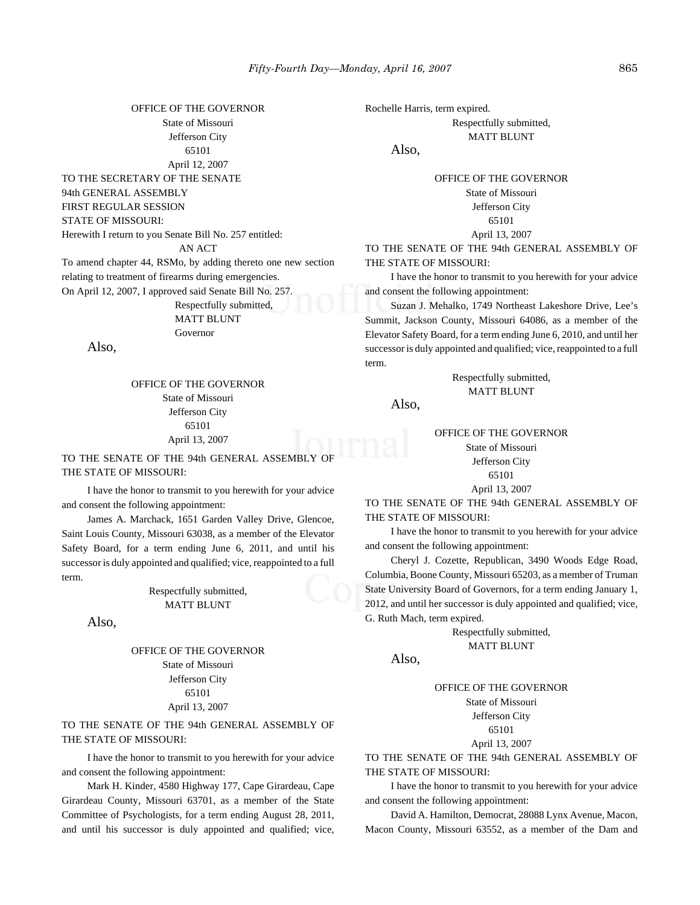OFFICE OF THE GOVERNOR State of Missouri Jefferson City 65101 April 12, 2007 TO THE SECRETARY OF THE SENATE 94th GENERAL ASSEMBLY FIRST REGULAR SESSION STATE OF MISSOURI: Herewith I return to you Senate Bill No. 257 entitled: AN ACT To amend chapter 44, RSMo, by adding thereto one new section relating to treatment of firearms during emergencies. On April 12, 2007, I approved said Senate Bill No. 257. Respectfully submitted, MATT BLUNT Governor

Also,

OFFICE OF THE GOVERNOR State of Missouri Jefferson City 65101 April 13, 2007

TO THE SENATE OF THE 94th GENERAL ASSEMBLY OF THE STATE OF MISSOURI:

I have the honor to transmit to you herewith for your advice and consent the following appointment:

James A. Marchack, 1651 Garden Valley Drive, Glencoe, Saint Louis County, Missouri 63038, as a member of the Elevator Safety Board, for a term ending June 6, 2011, and until his successor is duly appointed and qualified; vice, reappointed to a full term.

> Respectfully submitted, MATT BLUNT

Also,

#### OFFICE OF THE GOVERNOR State of Missouri Jefferson City 65101 April 13, 2007

TO THE SENATE OF THE 94th GENERAL ASSEMBLY OF THE STATE OF MISSOURI:

I have the honor to transmit to you herewith for your advice and consent the following appointment:

Mark H. Kinder, 4580 Highway 177, Cape Girardeau, Cape Girardeau County, Missouri 63701, as a member of the State Committee of Psychologists, for a term ending August 28, 2011, and until his successor is duly appointed and qualified; vice,

Rochelle Harris, term expired.

Respectfully submitted, MATT BLUNT

Also,

#### OFFICE OF THE GOVERNOR State of Missouri Jefferson City 65101

April 13, 2007

TO THE SENATE OF THE 94th GENERAL ASSEMBLY OF THE STATE OF MISSOURI:

I have the honor to transmit to you herewith for your advice and consent the following appointment:

Suzan J. Mehalko, 1749 Northeast Lakeshore Drive, Lee's Summit, Jackson County, Missouri 64086, as a member of the Elevator Safety Board, for a term ending June 6, 2010, and until her successor is duly appointed and qualified; vice, reappointed to a full term.

> Respectfully submitted, MATT BLUNT

Also,

OFFICE OF THE GOVERNOR State of Missouri Jefferson City 65101 April 13, 2007

TO THE SENATE OF THE 94th GENERAL ASSEMBLY OF THE STATE OF MISSOURI:

I have the honor to transmit to you herewith for your advice and consent the following appointment:

Cheryl J. Cozette, Republican, 3490 Woods Edge Road, Columbia, Boone County, Missouri 65203, as a member of Truman State University Board of Governors, for a term ending January 1, 2012, and until her successor is duly appointed and qualified; vice, G. Ruth Mach, term expired.

> Respectfully submitted, MATT BLUNT

Also,

OFFICE OF THE GOVERNOR

State of Missouri Jefferson City 65101 April 13, 2007

TO THE SENATE OF THE 94th GENERAL ASSEMBLY OF THE STATE OF MISSOURI:

I have the honor to transmit to you herewith for your advice and consent the following appointment:

David A. Hamilton, Democrat, 28088 Lynx Avenue, Macon, Macon County, Missouri 63552, as a member of the Dam and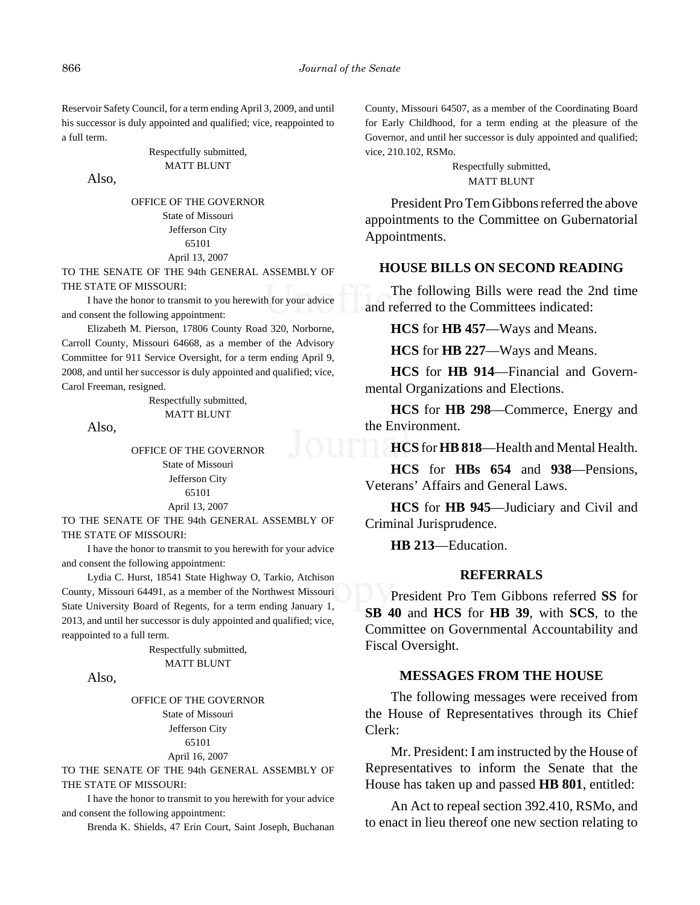Reservoir Safety Council, for a term ending April 3, 2009, and until his successor is duly appointed and qualified; vice, reappointed to a full term.

> Respectfully submitted, MATT BLUNT

Also,

OFFICE OF THE GOVERNOR State of Missouri Jefferson City 65101 April 13, 2007

TO THE SENATE OF THE 94th GENERAL ASSEMBLY OF THE STATE OF MISSOURI:

I have the honor to transmit to you herewith for your advice and consent the following appointment:

Elizabeth M. Pierson, 17806 County Road 320, Norborne, Carroll County, Missouri 64668, as a member of the Advisory Committee for 911 Service Oversight, for a term ending April 9, 2008, and until her successor is duly appointed and qualified; vice, Carol Freeman, resigned.

> Respectfully submitted, MATT BLUNT

Also,

OFFICE OF THE GOVERNOR State of Missouri Jefferson City 65101 April 13, 2007

TO THE SENATE OF THE 94th GENERAL ASSEMBLY OF THE STATE OF MISSOURI:

I have the honor to transmit to you herewith for your advice and consent the following appointment:

Lydia C. Hurst, 18541 State Highway O, Tarkio, Atchison County, Missouri 64491, as a member of the Northwest Missouri State University Board of Regents, for a term ending January 1, 2013, and until her successor is duly appointed and qualified; vice, reappointed to a full term.

> Respectfully submitted, MATT BLUNT

Also,

OFFICE OF THE GOVERNOR State of Missouri Jefferson City 65101 April 16, 2007

TO THE SENATE OF THE 94th GENERAL ASSEMBLY OF THE STATE OF MISSOURI:

I have the honor to transmit to you herewith for your advice and consent the following appointment:

Brenda K. Shields, 47 Erin Court, Saint Joseph, Buchanan

County, Missouri 64507, as a member of the Coordinating Board for Early Childhood, for a term ending at the pleasure of the Governor, and until her successor is duly appointed and qualified; vice, 210.102, RSMo.

> Respectfully submitted, MATT BLUNT

President Pro Tem Gibbons referred the above appointments to the Committee on Gubernatorial Appointments.

#### **HOUSE BILLS ON SECOND READING**

The following Bills were read the 2nd time and referred to the Committees indicated:

**HCS** for **HB 457**—Ways and Means.

**HCS** for **HB 227**—Ways and Means.

**HCS** for **HB 914**—Financial and Governmental Organizations and Elections.

**HCS** for **HB 298**—Commerce, Energy and the Environment.

**HCS** for **HB 818**—Health and Mental Health.

**HCS** for **HBs 654** and **938**—Pensions, Veterans' Affairs and General Laws.

**HCS** for **HB 945**—Judiciary and Civil and Criminal Jurisprudence.

**HB 213**—Education.

## **REFERRALS**

President Pro Tem Gibbons referred **SS** for **SB 40** and **HCS** for **HB 39**, with **SCS**, to the Committee on Governmental Accountability and Fiscal Oversight.

#### **MESSAGES FROM THE HOUSE**

The following messages were received from the House of Representatives through its Chief Clerk:

Mr. President: I am instructed by the House of Representatives to inform the Senate that the House has taken up and passed **HB 801**, entitled:

An Act to repeal section 392.410, RSMo, and to enact in lieu thereof one new section relating to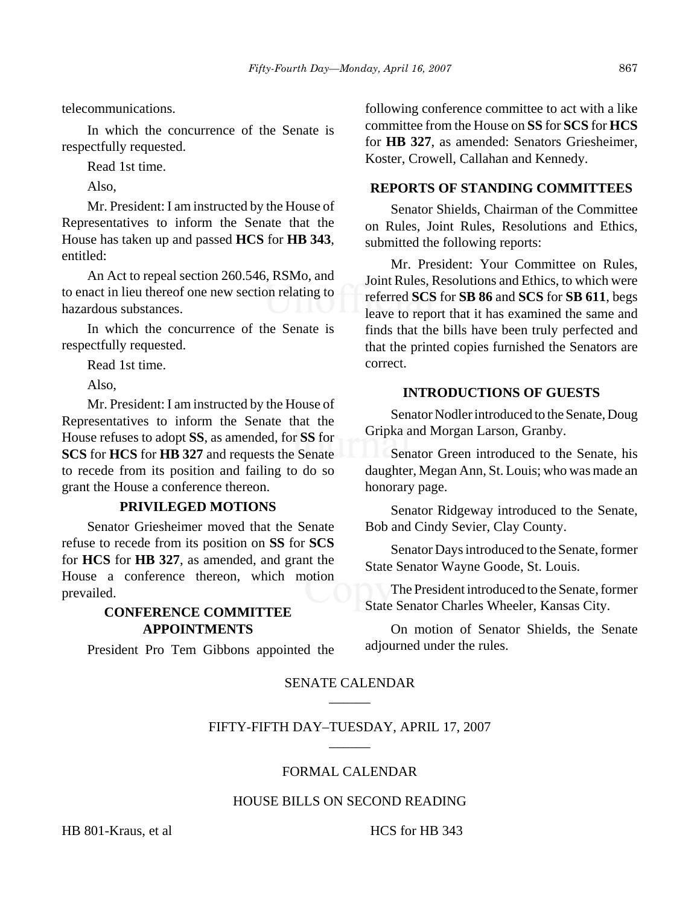telecommunications.

In which the concurrence of the Senate is respectfully requested.

Read 1st time.

Also,

Mr. President: I am instructed by the House of Representatives to inform the Senate that the House has taken up and passed **HCS** for **HB 343**, entitled:

An Act to repeal section 260.546, RSMo, and to enact in lieu thereof one new section relating to hazardous substances.

In which the concurrence of the Senate is respectfully requested.

Read 1st time.

Also,

Mr. President: I am instructed by the House of Representatives to inform the Senate that the House refuses to adopt **SS**, as amended, for **SS** for **SCS** for **HCS** for **HB 327** and requests the Senate to recede from its position and failing to do so grant the House a conference thereon.

## **PRIVILEGED MOTIONS**

Senator Griesheimer moved that the Senate refuse to recede from its position on **SS** for **SCS** for **HCS** for **HB 327**, as amended, and grant the House a conference thereon, which motion prevailed.

## **CONFERENCE COMMITTEE APPOINTMENTS**

President Pro Tem Gibbons appointed the

following conference committee to act with a like committee from the House on **SS** for **SCS** for **HCS** for **HB 327**, as amended: Senators Griesheimer, Koster, Crowell, Callahan and Kennedy.

## **REPORTS OF STANDING COMMITTEES**

Senator Shields, Chairman of the Committee on Rules, Joint Rules, Resolutions and Ethics, submitted the following reports:

Mr. President: Your Committee on Rules, Joint Rules, Resolutions and Ethics, to which were referred **SCS** for **SB 86** and **SCS** for **SB 611**, begs leave to report that it has examined the same and finds that the bills have been truly perfected and that the printed copies furnished the Senators are correct.

#### **INTRODUCTIONS OF GUESTS**

Senator Nodler introduced to the Senate, Doug Gripka and Morgan Larson, Granby.

Senator Green introduced to the Senate, his daughter, Megan Ann, St. Louis; who was made an honorary page.

Senator Ridgeway introduced to the Senate, Bob and Cindy Sevier, Clay County.

Senator Days introduced to the Senate, former State Senator Wayne Goode, St. Louis.

The President introduced to the Senate, former State Senator Charles Wheeler, Kansas City.

On motion of Senator Shields, the Senate adjourned under the rules.

## SENATE CALENDAR  $\overline{\phantom{a}}$

#### FIFTY-FIFTH DAY–TUESDAY, APRIL 17, 2007 \_\_\_\_\_\_

#### FORMAL CALENDAR

## HOUSE BILLS ON SECOND READING

HB 801-Kraus, et al HCS for HB 343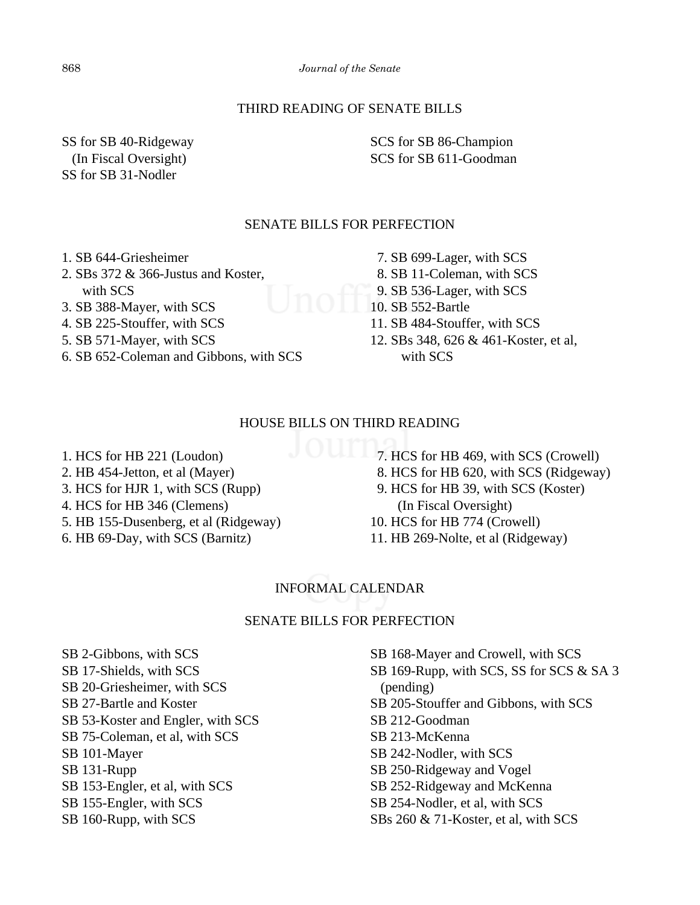## THIRD READING OF SENATE BILLS

SS for SB 40-Ridgeway (In Fiscal Oversight) SS for SB 31-Nodler

SCS for SB 86-Champion SCS for SB 611-Goodman

## SENATE BILLS FOR PERFECTION

- 1. SB 644-Griesheimer
- 2. SBs 372 & 366-Justus and Koster, with SCS
- 3. SB 388-Mayer, with SCS
- 4. SB 225-Stouffer, with SCS
- 5. SB 571-Mayer, with SCS
- 6. SB 652-Coleman and Gibbons, with SCS
- 7. SB 699-Lager, with SCS
- 8. SB 11-Coleman, with SCS
- 9. SB 536-Lager, with SCS
- 10. SB 552-Bartle
- 11. SB 484-Stouffer, with SCS
- 12. SBs 348, 626 & 461-Koster, et al, with SCS

#### HOUSE BILLS ON THIRD READING

- 1. HCS for HB 221 (Loudon)
- 2. HB 454-Jetton, et al (Mayer)
- 3. HCS for HJR 1, with SCS (Rupp)
- 4. HCS for HB 346 (Clemens)
- 5. HB 155-Dusenberg, et al (Ridgeway)
- 6. HB 69-Day, with SCS (Barnitz)
- 7. HCS for HB 469, with SCS (Crowell)
	- 8. HCS for HB 620, with SCS (Ridgeway)
	- 9. HCS for HB 39, with SCS (Koster) (In Fiscal Oversight)
	- 10. HCS for HB 774 (Crowell)
	- 11. HB 269-Nolte, et al (Ridgeway)

## INFORMAL CALENDAR

#### SENATE BILLS FOR PERFECTION

SB 2-Gibbons, with SCS SB 17-Shields, with SCS SB 20-Griesheimer, with SCS SB 27-Bartle and Koster SB 53-Koster and Engler, with SCS SB 75-Coleman, et al, with SCS SB 101-Mayer SB 131-Rupp SB 153-Engler, et al, with SCS SB 155-Engler, with SCS SB 160-Rupp, with SCS

SB 168-Mayer and Crowell, with SCS SB 169-Rupp, with SCS, SS for SCS & SA 3 (pending) SB 205-Stouffer and Gibbons, with SCS SB 212-Goodman SB 213-McKenna SB 242-Nodler, with SCS SB 250-Ridgeway and Vogel SB 252-Ridgeway and McKenna SB 254-Nodler, et al, with SCS SBs 260 & 71-Koster, et al, with SCS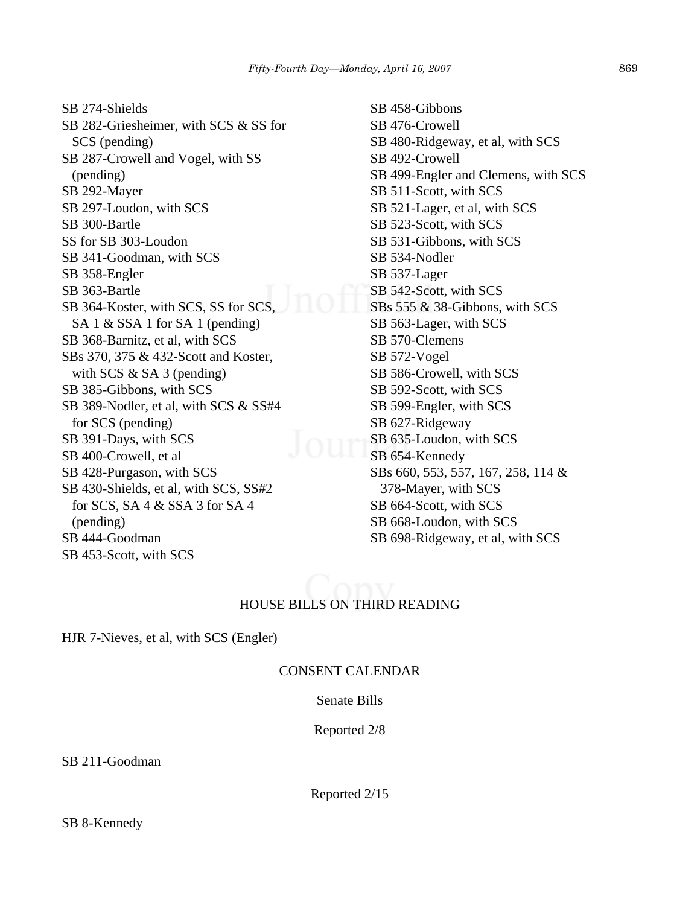*Fifty-Fourth Day—Monday, April 16, 2007* 869

SB 274-Shields SB 282-Griesheimer, with SCS & SS for SCS (pending) SB 287-Crowell and Vogel, with SS (pending) SB 292-Mayer SB 297-Loudon, with SCS SB 300-Bartle SS for SB 303-Loudon SB 341-Goodman, with SCS SB 358-Engler SB 363-Bartle SB 364-Koster, with SCS, SS for SCS, SA 1 & SSA 1 for SA 1 (pending) SB 368-Barnitz, et al, with SCS SBs 370, 375 & 432-Scott and Koster, with SCS & SA 3 (pending) SB 385-Gibbons, with SCS SB 389-Nodler, et al, with SCS & SS#4 for SCS (pending) SB 391-Days, with SCS SB 400-Crowell, et al SB 428-Purgason, with SCS SB 430-Shields, et al, with SCS, SS#2 for SCS, SA 4 & SSA 3 for SA 4 (pending) SB 444-Goodman SB 453-Scott, with SCS

SB 458-Gibbons SB 476-Crowell SB 480-Ridgeway, et al, with SCS SB 492-Crowell SB 499-Engler and Clemens, with SCS SB 511-Scott, with SCS SB 521-Lager, et al, with SCS SB 523-Scott, with SCS SB 531-Gibbons, with SCS SB 534-Nodler SB 537-Lager SB 542-Scott, with SCS SBs 555 & 38-Gibbons, with SCS SB 563-Lager, with SCS SB 570-Clemens SB 572-Vogel SB 586-Crowell, with SCS SB 592-Scott, with SCS SB 599-Engler, with SCS SB 627-Ridgeway SB 635-Loudon, with SCS SB 654-Kennedy SBs 660, 553, 557, 167, 258, 114 & 378-Mayer, with SCS SB 664-Scott, with SCS SB 668-Loudon, with SCS SB 698-Ridgeway, et al, with SCS

# HOUSE BILLS ON THIRD READING

HJR 7-Nieves, et al, with SCS (Engler)

### CONSENT CALENDAR

Senate Bills

Reported 2/8

SB 211-Goodman

Reported 2/15

SB 8-Kennedy